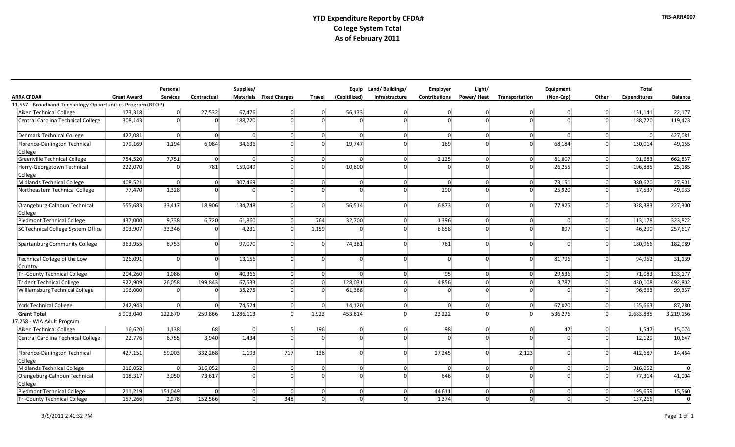|                                                            |                    | Personal        |                | Supplies/      |                                |                | Equip          | Land/Buildings/ | Employer             | Light/         |                | Equipment      |                | <b>Total</b>        |                |
|------------------------------------------------------------|--------------------|-----------------|----------------|----------------|--------------------------------|----------------|----------------|-----------------|----------------------|----------------|----------------|----------------|----------------|---------------------|----------------|
| ARRA CFDA#                                                 | <b>Grant Award</b> | <b>Services</b> | Contractual    |                | <b>Materials</b> Fixed Charges | Travel         | (Capitilized)  | Infrastructure  | <b>Contributions</b> | Power/Heat     | Transportation | (Non-Cap)      | Other          | <b>Expenditures</b> | <b>Balance</b> |
| 11.557 - Broadband Technology Opportunities Program (BTOP) |                    |                 |                |                |                                |                |                |                 |                      |                |                |                |                |                     |                |
| Aiken Technical College                                    | 173,318            | 0               | 27,532         | 67,476         | 0                              | 0              | 56,133         | 0               | $\overline{0}$       | 0              | $\overline{0}$ | $\overline{0}$ | $\Omega$       | 151,141             | 22,177         |
| Central Carolina Technical College                         | 308,143            | 0               |                | 188,720        | 0                              | $\overline{0}$ | $\Omega$       | $\overline{0}$  | $\Omega$             | 0              | $\overline{0}$ | $\Omega$       | $\Omega$       | 188,720             | 119,423        |
| Denmark Technical College                                  | 427,081            | 0               | $\overline{0}$ | 0              | 0                              | 0              | 0              | 0               | $\overline{0}$       | 0              | $\mathbf{0}$   | 0              | 0              | $\overline{0}$      | 427,081        |
| Florence-Darlington Technical<br>College                   | 179,169            | 1,194           | 6,084          | 34,636         | 0                              | 0              | 19,747         | $\overline{0}$  | 169                  | 0              | $\overline{0}$ | 68,184         | $\overline{0}$ | 130,014             | 49,155         |
| <b>Greenville Technical College</b>                        | 754,520            | 7,751           | 0              | $\overline{0}$ | 0                              | 0              | $\overline{0}$ | $\overline{0}$  | 2,125                | 0              | $\mathbf{0}$   | 81,807         | $\overline{0}$ | 91,683              | 662,837        |
| Horry-Georgetown Technical                                 | 222,070            | 0               | 781            | 159,049        | 0                              | 0              | 10,800         | 0               | $\overline{0}$       | 0              | $\overline{0}$ | 26,255         | $\overline{0}$ | 196,885             | 25,185         |
| College                                                    |                    |                 |                |                |                                |                |                |                 |                      |                |                |                |                |                     |                |
| Midlands Technical College                                 | 408,521            | $\overline{0}$  | 0              | 307,469        | 0                              | 0              | 0              | 0               | $\overline{0}$       | $\overline{0}$ | 0              | 73,151         | $\overline{0}$ | 380,620             | 27,901         |
| Northeastern Technical College                             | 77,470             | 1,328           | $\overline{0}$ | $\Omega$       | 0 <sup>1</sup>                 | $\overline{0}$ | $\overline{0}$ | $\overline{0}$  | 290                  | 0              | $\overline{0}$ | 25,920         | $\Omega$       | 27,537              | 49,933         |
| Orangeburg-Calhoun Technical<br>College                    | 555,683            | 33,417          | 18,906         | 134,748        | 0                              | $\overline{0}$ | 56,514         | $\Omega$        | 6,873                | 0              | $\Omega$       | 77,925         | $\Omega$       | 328,383             | 227,300        |
| Piedmont Technical College                                 | 437,000            | 9,738           | 6,720          | 61,860         | 0                              | 764            | 32,700         | 0               | 1,396                | 0              | 0 <sup>1</sup> | 0              | 0              | 113,178             | 323,822        |
| SC Technical College System Office                         | 303,907            | 33,346          | $\Omega$       | 4,231          | 0                              | 1,159          | $\Omega$       | $\Omega$        | 6,658                | $\overline{0}$ | $\Omega$       | 897            | $\Omega$       | 46,290              | 257,617        |
| Spartanburg Community College                              | 363,955            | 8,753           | $\overline{0}$ | 97,070         | 0                              | 0              | 74,381         | $\Omega$        | 761                  | 0              | $\Omega$       | $\Omega$       | $\Omega$       | 180,966             | 182,989        |
| Technical College of the Low<br>Country                    | 126,091            | $\overline{0}$  | $\overline{0}$ | 13,156         | 0                              | $\overline{0}$ | $\overline{0}$ | $\Omega$        | $\Omega$             | 0              | $\Omega$       | 81,796         | $\Omega$       | 94,952              | 31,139         |
| Tri-County Technical College                               | 204,260            | 1,086           | $\overline{0}$ | 40,366         | 0                              | 0              | 0              | 0               | 95                   | 0              | 0 <sup>1</sup> | 29,536         | 0              | 71,083              | 133,177        |
| Trident Technical College                                  | 922,909            | 26,058          | 199,843        | 67,533         | 0                              | 0              | 128,031        | 0               | 4,856                | $\overline{0}$ | 0              | 3,787          | $\overline{0}$ | 430,108             | 492,802        |
| <b>Williamsburg Technical College</b>                      | 196,000            | 0               | 0              | 35,275         | 0                              | 0              | 61,388         | $\Omega$        | $\Omega$             | 0              | $\overline{0}$ | $\overline{0}$ | $\Omega$       | 96,663              | 99,337         |
| York Technical College                                     | 242,943            | 0               | $\overline{0}$ | 74,524         | 0                              | 0              | 14,120         | 0               | $\overline{0}$       | 0              | 0              | 67,020         | 0 <sup>1</sup> | 155,663             | 87,280         |
| <b>Grant Total</b>                                         | 5,903,040          | 122,670         | 259,866        | 1,286,113      | $\mathbf 0$                    | 1,923          | 453,814        | $\mathbf 0$     | 23,222               | $\mathbf{0}$   | $\mathbf{0}$   | 536,276        | $\mathbf 0$    | 2,683,885           | 3,219,156      |
| 17.258 - WIA Adult Program                                 |                    |                 |                |                |                                |                |                |                 |                      |                |                |                |                |                     |                |
| Aiken Technical College                                    | 16,620             | 1,138           | 68             | $\Omega$       | 5 <sup>2</sup>                 | 196            | $\overline{0}$ | 0               | 98                   | 0              | 0              | 42             | 0              | 1,547               | 15,074         |
| Central Carolina Technical College                         | 22,776             | 6,755           | 3,940          | 1,434          | 0                              | $\overline{0}$ | 0              | $\Omega$        | $\Omega$             | 0              | $\Omega$       | $\Omega$       | $\Omega$       | 12,129              | 10,647         |
| Florence-Darlington Technical<br>College                   | 427,151            | 59,003          | 332,268        | 1,193          | 717                            | 138            | $\overline{0}$ | $\overline{0}$  | 17,245               | 0              | 2,123          | $\Omega$       | $\Omega$       | 412,687             | 14,464         |
| Midlands Technical College                                 | 316,052            | 0               | 316,052        | 0              | 0                              | 0              | 0              | 0               | $\overline{0}$       | 0              | 0              | 0              | $\overline{0}$ | 316,052             | $\mathbf 0$    |
| Orangeburg-Calhoun Technical<br>College                    | 118,317            | 3,050           | 73,617         | $\overline{0}$ | 0                              | $\overline{0}$ | $\overline{0}$ | $\Omega$        | 646                  | 0              | $\Omega$       | $\overline{0}$ | $\overline{0}$ | 77,314              | 41,004         |
| Piedmont Technical College                                 | 211,219            | 151,049         | $\overline{0}$ | $\overline{0}$ | 0                              | 0              | $\overline{0}$ | $\overline{0}$  | 44,611               | 0              | 0 <sup>1</sup> | $\overline{0}$ | 0              | 195,659             | 15,560         |
| Tri-County Technical College                               | 157,266            | 2,978           | 152,566        | $\overline{0}$ | 348                            | 0              | $\overline{0}$ | $\overline{0}$  | 1,374                | 0              | 0 <sup>1</sup> | $\overline{0}$ | $\overline{0}$ | 157,266             | $\Omega$       |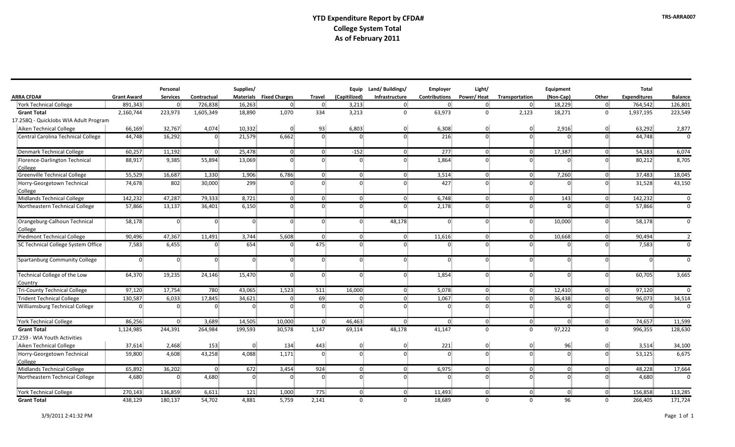|                                         |                    | Personal        |                | Supplies/      |                                |                | Equip          | Land/Buildings/ | Employer       | Light/         |                | Equipment      |                | <b>Total</b>        |                |
|-----------------------------------------|--------------------|-----------------|----------------|----------------|--------------------------------|----------------|----------------|-----------------|----------------|----------------|----------------|----------------|----------------|---------------------|----------------|
| <b>ARRA CFDA#</b>                       | <b>Grant Award</b> | <b>Services</b> | Contractual    |                | <b>Materials</b> Fixed Charges | Travel         | (Capitilized)  | Infrastructure  | Contributions  | Power/Heat     | Transportation | (Non-Cap)      | Other          | <b>Expenditures</b> | <b>Balance</b> |
| <b>York Technical College</b>           | 891,343            | $\Omega$        | 726,838        | 16,263         | $\overline{0}$                 | $\Omega$       | 3,213          | 0               | 0              | $\overline{0}$ | 0              | 18,229         | 0              | 764,542             | 126,801        |
| <b>Grant Total</b>                      | 2,160,744          | 223,973         | 1,605,349      | 18,890         | 1,070                          | 334            | 3,213          | $\overline{0}$  | 63,973         | $\mathbf 0$    | 2,123          | 18,271         | $\mathbf 0$    | 1,937,195           | 223,549        |
| 17.258Q - QuickJobs WIA Adult Program   |                    |                 |                |                |                                |                |                |                 |                |                |                |                |                |                     |                |
| Aiken Technical College                 | 66,169             | 32,767          | 4,074          | 10,332         | $\overline{0}$                 | 93             | 6,803          | $\overline{0}$  | 6,308          | $\overline{0}$ | $\overline{0}$ | 2,916          | 0              | 63,292              | 2,877          |
| Central Carolina Technical College      | 44,748             | 16,292          | 0              | 21,579         | 6,662                          | 0              | $\overline{0}$ | $\Omega$        | 216            | 0              | $\Omega$       | $\Omega$       | $\overline{0}$ | 44,748              | $\Omega$       |
| <b>Denmark Technical College</b>        | 60,257             | 11,192          | $\overline{0}$ | 25,478         | 0                              | 0              | $-152$         | 0               | 277            | 0              | 0              | 17,387         | 0              | 54,183              | 6,074          |
| Florence-Darlington Technical           | 88,917             | 9,385           | 55,894         | 13,069         | $\overline{0}$                 | 0 <sup>1</sup> | $\overline{0}$ | $\Omega$        | 1,864          | $\Omega$       | $\Omega$       | $\Omega$       | $\Omega$       | 80,212              | 8,705          |
| College                                 |                    |                 |                |                |                                |                |                |                 |                |                |                |                |                |                     |                |
| <b>Greenville Technical College</b>     | 55,529             | 16,687          | 1,330          | 1,906          | 6,786                          | 0              | 0              | 0               | 3,514          | 0              | 0              | 7,260          | 0              | 37,483              | 18,045         |
| Horry-Georgetown Technical<br>College   | 74,678             | 802             | 30,000         | 299            | $\overline{0}$                 | $\overline{0}$ | $\overline{0}$ | $\Omega$        | 427            | $\overline{0}$ | $\overline{0}$ | $\Omega$       | 0              | 31,528              | 43,150         |
| Midlands Technical College              | 142,232            | 47,287          | 79,333         | 8,721          | 0                              | $\overline{0}$ | $\overline{0}$ | 0               | 6,748          | 0              | 0              | 143            | 0              | 142,232             | $\overline{0}$ |
| Northeastern Technical College          | 57,866             | 13,137          | 36,401         | 6,150          | $\overline{0}$                 | 0 <sup>1</sup> | $\overline{0}$ | $\Omega$        | 2,178          | $\Omega$       | $\Omega$       | $\Omega$       | $\Omega$       | 57,866              | $\mathbf 0$    |
| Orangeburg-Calhoun Technical<br>College | 58,178             | $\overline{0}$  | 0              | 0              | $\overline{0}$                 | 0              | $\overline{0}$ | 48,178          | 0              | $\overline{0}$ | $\Omega$       | 10,000         | 0              | 58,178              | $\mathbf 0$    |
| Piedmont Technical College              | 90,496             | 47,367          | 11,491         | 3,744          | 5,608                          | 0              | 0              | 0               | 11,616         | 0              | 0              | 10,668         | 0              | 90,494              | $\overline{2}$ |
| SC Technical College System Office      | 7,583              | 6,455           | $\Omega$       | 654            | $\Omega$                       | 475            | $\overline{0}$ | $\Omega$        | $\overline{0}$ | $\overline{0}$ | $\overline{0}$ | $\Omega$       | 0              | 7,583               | $\mathbf{0}$   |
| Spartanburg Community College           | $\overline{0}$     | $\overline{0}$  | $\Omega$       | $\Omega$       | $\overline{0}$                 | $\overline{0}$ | $\overline{0}$ | $\Omega$        | 0              | $\overline{0}$ | $\overline{0}$ | $\Omega$       | $\overline{0}$ | $\Omega$            | $\mathbf 0$    |
| Technical College of the Low            | 64,370             | 19,235          | 24,146         | 15,470         | $\overline{0}$                 | $\overline{0}$ | $\overline{0}$ | $\Omega$        | 1,854          | $\overline{0}$ | $\overline{0}$ | $\Omega$       | $\overline{0}$ | 60,705              | 3,665          |
| Country                                 |                    |                 |                |                |                                |                |                |                 |                |                |                |                |                |                     |                |
| Tri-County Technical College            | 97,120             | 17,754          | 780            | 43,065         | 1,523                          | 511            | 16,000         | 0               | 5,078          | 0              | 0              | 12,410         | 0              | 97,120              | $\overline{0}$ |
| <b>Trident Technical College</b>        | 130,587            | 6,033           | 17,845         | 34,621         | $\overline{0}$                 | 69             | $\overline{0}$ | 0               | 1,067          | 0              | 0              | 36,438         | 0              | 96,073              | 34,514         |
| Williamsburg Technical College          | $\overline{0}$     | $\Omega$        | $\Omega$       | $\Omega$       | $\Omega$                       | $\Omega$       | $\Omega$       | $\Omega$        | 0 <sup>1</sup> | $\overline{0}$ | $\Omega$       | $\Omega$       | 0 <sup>1</sup> | $\Omega$            | $\Omega$       |
| York Technical College                  | 86,256             | $\overline{0}$  | 3,689          | 14,505         | 10,000                         | 0              | 46,463         | 0               | 0              | 0              | 0              | 0              | 0              | 74,657              | 11,599         |
| <b>Grant Total</b>                      | 1,124,985          | 244,391         | 264,984        | 199,593        | 30,578                         | 1,147          | 69,114         | 48,178          | 41,147         | $\mathbf 0$    | $\mathbf{0}$   | 97,222         | $\mathbf{0}$   | 996,355             | 128,630        |
| 17.259 - WIA Youth Activities           |                    |                 |                |                |                                |                |                |                 |                |                |                |                |                |                     |                |
| Aiken Technical College                 | 37,614             | 2,468           | 153            | $\overline{0}$ | 134                            | 443            | $\overline{0}$ | $\overline{0}$  | 221            | 0              | 0              | 96             | 0              | 3,514               | 34,100         |
| Horry-Georgetown Technical              | 59,800             | 4,608           | 43,258         | 4,088          | 1,171                          | $\overline{0}$ | $\overline{0}$ | $\Omega$        | $\Omega$       | $\overline{0}$ | $\Omega$       | $\Omega$       | $\Omega$       | 53,125              | 6,675          |
| College<br>Midlands Technical College   | 65,892             | 36,202          | $\overline{0}$ | 672            | 3,454                          | 924            | 0              | 0               | 6,975          | 0              | 0              | 0              | 0              | 48,228              | 17,664         |
| Northeastern Technical College          | 4,680              | $\overline{0}$  | 4,680          | 0              | $\overline{0}$                 | 0              | $\overline{0}$ | $\overline{0}$  | 0              | 0              | $\overline{0}$ | $\overline{0}$ | 0              | 4,680               | $\Omega$       |
|                                         |                    |                 |                |                |                                |                |                |                 |                |                |                |                |                |                     |                |
| <b>York Technical College</b>           | 270,143            | 136,859         | 6,611          | 121            | 1,000                          | 775            | $\overline{0}$ | $\overline{0}$  | 11,493         | 0              | 0              | 0              | 0              | 156,858             | 113,285        |
| <b>Grant Total</b>                      | 438,129            | 180,137         | 54,702         | 4,881          | 5,759                          | 2,141          | $\Omega$       | $\Omega$        | 18,689         | $\Omega$       | $\Omega$       | 96             | $\mathbf{0}$   | 266,405             | 171,724        |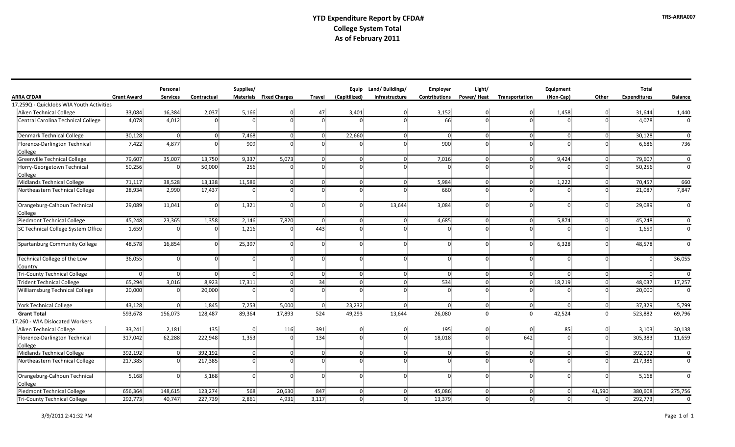|                                          |                    | Personal        |                | Supplies/      |                                |                |                | Equip Land/Buildings/ | Employer       | Light/                   |                | Equipment      |                | Total               |                |
|------------------------------------------|--------------------|-----------------|----------------|----------------|--------------------------------|----------------|----------------|-----------------------|----------------|--------------------------|----------------|----------------|----------------|---------------------|----------------|
| <b>ARRA CFDA#</b>                        | <b>Grant Award</b> | <b>Services</b> | Contractual    |                | <b>Materials</b> Fixed Charges | <b>Travel</b>  | (Capitilized)  | Infrastructure        |                | Contributions Power/Heat | Transportation | (Non-Cap)      | Other          | <b>Expenditures</b> | <b>Balance</b> |
| 17.259Q - QuickJobs WIA Youth Activities |                    |                 |                |                |                                |                |                |                       |                |                          |                |                |                |                     |                |
| Aiken Technical College                  | 33,084             | 16,384          | 2,037          | 5,166          | 0                              | 47             | 3,401          | $\overline{0}$        | 3,152          | 0                        | 0              | 1,458          | $\Omega$       | 31,644              | 1,440          |
| Central Carolina Technical College       | 4,078              | 4,012           | $\overline{0}$ | $\overline{0}$ | 0 <sup>1</sup>                 | 0              | $\Omega$       | $\Omega$              | 66             | $\overline{0}$           | 0 <sup>1</sup> | $\overline{0}$ | $\Omega$       | 4,078               | $\overline{0}$ |
| Denmark Technical College                | 30,128             | $\overline{0}$  | $\overline{0}$ | 7,468          | 0                              | 0              | 22,660         | 0                     | 0              | 0                        | 0              | 0              | $\overline{0}$ | 30,128              | $\overline{0}$ |
| Florence-Darlington Technical<br>College | 7,422              | 4,877           | $\overline{0}$ | 909            | $\overline{0}$                 | 0              | $\Omega$       | $\Omega$              | 900            | $\Omega$                 | 0 <sup>1</sup> | $\Omega$       | $\Omega$       | 6,686               | 736            |
| Greenville Technical College             | 79,607             | 35,007          | 13,750         | 9,337          | 5,073                          | 0              | 0              | $\overline{0}$        | 7,016          | $\overline{0}$           | 0              | 9,424          | $\overline{0}$ | 79,607              | $\overline{0}$ |
| Horry-Georgetown Technical<br>College    | 50,256             | $\Omega$        | 50,000         | 256            | 0                              | 0              | $\Omega$       | $\Omega$              | $\overline{0}$ | $\overline{0}$           | 0 <sup>1</sup> | $\Omega$       | $\Omega$       | 50,256              | $\overline{0}$ |
| Midlands Technical College               | 71,117             | 38,528          | 13,138         | 11,586         | $\mathbf{0}$                   | 0              | 0              | $\overline{0}$        | 5,984          | 0                        | 0              | 1,222          | $\Omega$       | 70,457              | 660            |
| Northeastern Technical College           | 28,934             | 2,990           | 17,437         | $\Omega$       | $\Omega$                       | $\Omega$       | $\overline{0}$ | $\Omega$              | 660            | $\Omega$                 | $\Omega$       | $\Omega$       | $\Omega$       | 21,087              | 7,847          |
| Orangeburg-Calhoun Technical<br>College  | 29,089             | 11,041          | $\overline{0}$ | 1,321          | $\Omega$                       | $\overline{0}$ | $\overline{0}$ | 13,644                | 3,084          | $\overline{0}$           | 0              | $\Omega$       | $\Omega$       | 29,089              | $\overline{0}$ |
| Piedmont Technical College               | 45,248             | 23,365          | 1,358          | 2,146          | 7,820                          | 0              | 0              | $\overline{0}$        | 4,685          | 0                        | 0              | 5,874          | $\overline{0}$ | 45,248              | $\overline{0}$ |
| SC Technical College System Office       | 1,659              | $\Omega$        | $\Omega$       | 1,216          | $\Omega$                       | 443            | $\Omega$       | $\Omega$              | $\overline{0}$ | $\overline{0}$           | 0 <sup>1</sup> | $\Omega$       | $\Omega$       | 1,659               | $\Omega$       |
| Spartanburg Community College            | 48,578             | 16,854          | $\overline{0}$ | 25,397         | $\Omega$                       | 0              | $\overline{0}$ | $\Omega$              | 0              | $\overline{0}$           | 0              | 6,328          | $\Omega$       | 48,578              | $\Omega$       |
| Technical College of the Low<br>Country  | 36,055             | $\overline{0}$  | $\overline{0}$ | $\overline{0}$ | $\Omega$                       | 0 <sup>1</sup> | $\overline{0}$ | $\Omega$              | 0              | $\overline{0}$           | $\overline{0}$ | $\overline{0}$ | $\Omega$       | $\overline{0}$      | 36,055         |
| Tri-County Technical College             | 0                  | 0               | $\overline{0}$ | $\overline{0}$ | 0                              | 0              | 0              | $\overline{0}$        | 0              | 0                        | 0              | $\overline{0}$ | 0              | 0                   | $\overline{0}$ |
| Trident Technical College                | 65,294             | 3,016           | 8,923          | 17,311         | 0                              | 34             | 0              | 0                     | 534            | 0                        | 0              | 18,219         | $\overline{0}$ | 48,037              | 17,257         |
| Williamsburg Technical College           | 20,000             | $\Omega$        | 20,000         | $\overline{0}$ | 0                              | 0              | $\Omega$       | $\Omega$              | 0              | $\overline{0}$           | 0 <sup>1</sup> | $\Omega$       | $\Omega$       | 20,000              | $\overline{0}$ |
| <b>York Technical College</b>            | 43,128             | $\overline{0}$  | 1,845          | 7,253          | 5,000                          | 0              | 23,232         | $\overline{0}$        | 0              | 0                        | 0              | $\overline{0}$ | $\overline{0}$ | 37,329              | 5,799          |
| <b>Grant Total</b>                       | 593,678            | 156,073         | 128,487        | 89,364         | 17,893                         | 524            | 49,293         | 13,644                | 26,080         | $\mathbf{0}$             | $\mathbf{0}$   | 42,524         | $\mathbf 0$    | 523,882             | 69,796         |
| 17.260 - WIA Dislocated Workers          |                    |                 |                |                |                                |                |                |                       |                |                          |                |                |                |                     |                |
| Aiken Technical College                  | 33,241             | 2,181           | 135            | $\Omega$       | 116                            | 391            | $\Omega$       | $\Omega$              | 195            | $\overline{0}$           | $\overline{0}$ | 85             | $\Omega$       | 3,103               | 30,138         |
| Florence-Darlington Technical            | 317,042            | 62,288          | 222,948        | 1,353          | 0 <sup>1</sup>                 | 134            | 0              | $\Omega$              | 18,018         | $\Omega$                 | 642            | $\overline{0}$ | $\Omega$       | 305,383             | 11,659         |
| College                                  |                    |                 |                |                |                                |                |                |                       |                |                          |                |                |                |                     |                |
| Midlands Technical College               | 392,192            | $\overline{0}$  | 392.192        | 0              | 0                              | 0              | 0              | $\overline{0}$        | 0              | $\overline{0}$           | 0              | 0              | 0              | 392,192             | $\overline{0}$ |
| Northeastern Technical College           | 217,385            | $\overline{0}$  | 217,385        | $\Omega$       | $\overline{0}$                 | 0              | $\overline{0}$ | $\Omega$              | 0              | $\Omega$                 | $\Omega$       | $\Omega$       | $\Omega$       | 217,385             | $\overline{0}$ |
| Orangeburg-Calhoun Technical<br>College  | 5,168              | $\overline{0}$  | 5,168          | $\overline{0}$ | $\overline{0}$                 | 0              | 0              | $\Omega$              | 0              | 0                        | 0              | $\overline{0}$ | 0 <sup>1</sup> | 5,168               | $\overline{0}$ |
| Piedmont Technical College               | 656,364            | 148,615         | 123,274        | 568            | 20,630                         | 847            | $\overline{0}$ | $\overline{0}$        | 45,086         | 0                        | 0              | 0              | 41,590         | 380,608             | 275,756        |
| <b>Tri-County Technical College</b>      | 292,773            | 40,747          | 227,739        | 2,861          | 4,931                          | 3,117          | $\overline{0}$ | $\overline{0}$        | 13,379         | 0                        | 0              | $\overline{0}$ | $\overline{0}$ | 292,773             | $\mathbf 0$    |

**TRS-ARRA007**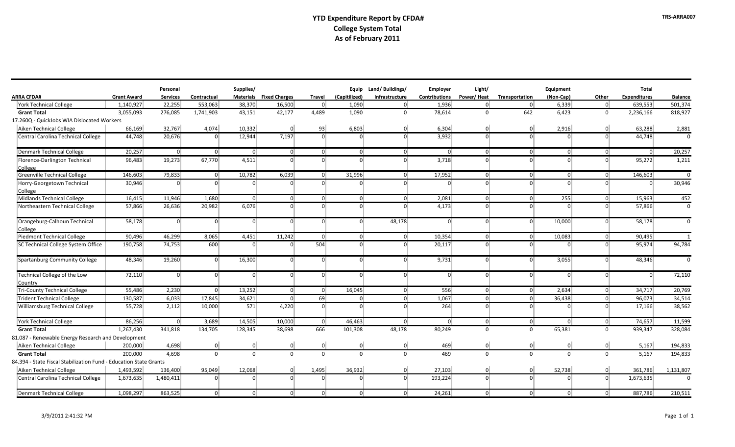|                                                                   |                    | Personal        |                | Supplies/      |                                |                |                | Equip Land/Buildings/ | <b>Employer</b>      | Light/         |                | Equipment      |                | <b>Total</b>        |                |
|-------------------------------------------------------------------|--------------------|-----------------|----------------|----------------|--------------------------------|----------------|----------------|-----------------------|----------------------|----------------|----------------|----------------|----------------|---------------------|----------------|
| <b>ARRA CFDA#</b>                                                 | <b>Grant Award</b> | <b>Services</b> | Contractual    |                | <b>Materials</b> Fixed Charges | Travel         | (Capitilized)  | Infrastructure        | <b>Contributions</b> | Power/Heat     | Transportation | (Non-Cap)      | Other          | <b>Expenditures</b> | <b>Balance</b> |
| <b>York Technical College</b>                                     | 1,140,927          | 22,255          | 553,063        | 38,370         | 16,500                         | 0              | 1,090          | 0                     | 1,936                | 0              | $\Omega$       | 6,339          | $\Omega$       | 639,553             | 501,374        |
| <b>Grant Total</b>                                                | 3,055,093          | 276,085         | 1,741,903      | 43,151         | 42,177                         | 4,489          | 1,090          | $\mathbf 0$           | 78,614               | $\mathbf{0}$   | 642            | 6,423          | $\mathbf{0}$   | 2,236,166           | 818,927        |
| 17.260Q - QuickJobs WIA Dislocated Workers                        |                    |                 |                |                |                                |                |                |                       |                      |                |                |                |                |                     |                |
| Aiken Technical College                                           | 66,169             | 32,767          | 4,074          | 10,332         | $\overline{0}$                 | 93             | 6,803          | 0                     | 6,304                | 0              | $\overline{0}$ | 2,916          | $\Omega$       | 63,288              | 2,881          |
| Central Carolina Technical College                                | 44,748             | 20,676          | $\overline{0}$ | 12,944         | 7,197                          | 0              | $\Omega$       | 0                     | 3,932                | 0              | $\overline{0}$ | $\Omega$       | $\Omega$       | 44,748              | $\Omega$       |
| Denmark Technical College                                         | 20,257             | 0               | 0              | 0              | 0                              | 0              | $\overline{0}$ | 0                     | 0                    | 0              | $\overline{0}$ | 0              | 0              | 0                   | 20,257         |
| Florence-Darlington Technical                                     | 96,483             | 19,273          | 67,770         | 4,511          | $\overline{0}$                 | 0              | $\Omega$       | $\overline{0}$        | 3,718                | 0              | $\Omega$       | $\Omega$       | $\Omega$       | 95,272              | 1,211          |
| College                                                           |                    |                 |                |                |                                |                |                |                       |                      |                |                |                |                |                     |                |
| <b>Greenville Technical College</b>                               | 146,603            | 79,833          | 0              | 10,782         | 6,039                          | 0              | 31,996         | 0                     | 17,952               | 0              | $\overline{0}$ | 0              | $\Omega$       | 146,603             | $\Omega$       |
| Horry-Georgetown Technical                                        | 30,946             | $\overline{0}$  | $\overline{0}$ | $\overline{0}$ | $\Omega$                       | 0              | $\Omega$       | $\overline{0}$        | 0 <sup>1</sup>       | 0              | $\overline{0}$ | $\overline{0}$ | $\Omega$       | $\overline{0}$      | 30,946         |
| College                                                           |                    |                 |                |                |                                |                |                |                       |                      |                |                |                |                |                     |                |
| Midlands Technical College                                        | 16,415             | 11,946          | 1,680          | $\overline{0}$ | $\overline{0}$                 | 0              | 0              | 0                     | 2,081                | 0              | $\overline{0}$ | 255            | 0              | 15,963              | 452            |
| Northeastern Technical College                                    | 57,866             | 26,636          | 20,982         | 6,076          | $\overline{0}$                 | 0              | $\overline{0}$ | $\Omega$              | 4,173                | 0              | $\Omega$       | $\Omega$       | $\Omega$       | 57,866              | $\mathbf 0$    |
| Orangeburg-Calhoun Technical                                      | 58,178             | $\Omega$        | $\overline{0}$ | $\overline{0}$ | $\Omega$                       | 0              | $\overline{0}$ | 48,178                | $\overline{0}$       | 0              | $\Omega$       | 10,000         | $\Omega$       | 58,178              | $\Omega$       |
| College                                                           |                    |                 |                |                |                                |                |                |                       |                      |                |                |                |                |                     |                |
| Piedmont Technical College                                        | 90,496             | 46,299          | 8,065          | 4,451          | 11,242                         | 0              | 0              | 0                     | 10,354               | 0              | $\overline{0}$ | 10,083         | 0              | 90,495              | 1              |
| SC Technical College System Office                                | 190,758            | 74,753          | 600            | $\overline{0}$ | $\Omega$                       | 504            | $\overline{0}$ | $\Omega$              | 20,117               | 0              | $\overline{0}$ | $\Omega$       | $\Omega$       | 95,974              | 94,784         |
| Spartanburg Community College                                     | 48,346             | 19,260          | $\overline{0}$ | 16,300         | $\overline{0}$                 | 0              | $\Omega$       | $\Omega$              | 9,731                | $\overline{0}$ | $\Omega$       | 3,055          | $\Omega$       | 48,346              | $\Omega$       |
| Technical College of the Low                                      | 72,110             | $\Omega$        | $\overline{0}$ | $\overline{0}$ | $\Omega$                       | 0 <sup>1</sup> | $\Omega$       | $\Omega$              | $\Omega$             | $\overline{0}$ | $\Omega$       | $\Omega$       | $\Omega$       | $\Omega$            | 72,110         |
| Country                                                           |                    |                 |                |                |                                |                |                |                       |                      |                |                |                |                |                     |                |
| <b>Tri-County Technical College</b>                               | 55,486             | 2,230           | 0              | 13,252         | 0                              | 0              | 16,045         | 0                     | 556                  | 0              | 0              | 2,634          | 0 <sup>1</sup> | 34,717              | 20,769         |
| Trident Technical College                                         | 130,587            | 6,033           | 17,845         | 34,621         | 0                              | 69             | $\overline{0}$ | 0                     | 1,067                | 0              | $\overline{0}$ | 36,438         | $\overline{0}$ | 96,073              | 34,514         |
| Williamsburg Technical College                                    | 55,728             | 2,112           | 10,000         | 571            | 4,220                          | 0              | $\Omega$       | $\overline{0}$        | 264                  | $\overline{0}$ | $\Omega$       | $\Omega$       | $\Omega$       | 17,166              | 38,562         |
| <b>York Technical College</b>                                     | 86,256             | 0               | 3,689          | 14,505         | 10,000                         | 0              | 46,463         | 0                     | 0 <sup>1</sup>       | 0              | 0              | 0              | 0              | 74,657              | 11,599         |
| <b>Grant Total</b>                                                | 1,267,430          | 341,818         | 134,705        | 128,345        | 38,698                         | 666            | 101,308        | 48,178                | 80,249               | $\overline{0}$ | $\Omega$       | 65,381         | $\Omega$       | 939,347             | 328,084        |
| 81.087 - Renewable Energy Research and Development                |                    |                 |                |                |                                |                |                |                       |                      |                |                |                |                |                     |                |
| Aiken Technical College                                           | 200,000            | 4,698           | $\mathbf{0}$   | 0              | 0                              | $\mathbf{0}$   | $\overline{0}$ | 0                     | 469                  | 0              | $\overline{0}$ | $\overline{0}$ | 0              | 5,167               | 194,833        |
| <b>Grant Total</b>                                                | 200,000            | 4,698           | $\mathbf 0$    | $\mathbf 0$    | $\mathbf 0$                    | $\Omega$       | $\Omega$       | $\Omega$              | 469                  | $\mathbf 0$    | $\Omega$       | $\Omega$       | $\Omega$       | 5,167               | 194,833        |
| 84.394 - State Fiscal Stabilization Fund - Education State Grants |                    |                 |                |                |                                |                |                |                       |                      |                |                |                |                |                     |                |
| Aiken Technical College                                           | 1,493,592          | 136,400         | 95,049         | 12,068         | $\overline{0}$                 | 1,495          | 36,932         | 0                     | 27,103               | 0              | 0              | 52,738         | $\overline{0}$ | 361,786             | 1,131,807      |
| Central Carolina Technical College                                | 1,673,635          | 1,480,411       | $\overline{0}$ | $\overline{0}$ | $\overline{0}$                 | 0              | $\Omega$       | 0                     | 193,224              | 0              | $\overline{0}$ | $\Omega$       | $\Omega$       | 1,673,635           | $\cap$         |
| Denmark Technical College                                         | 1,098,297          | 863,525         | $\overline{0}$ | $\overline{0}$ | $\overline{0}$                 | 0              | 0              | 0                     | 24,261               | 0              | $\overline{0}$ | $\overline{0}$ | $\overline{0}$ | 887,786             | 210,511        |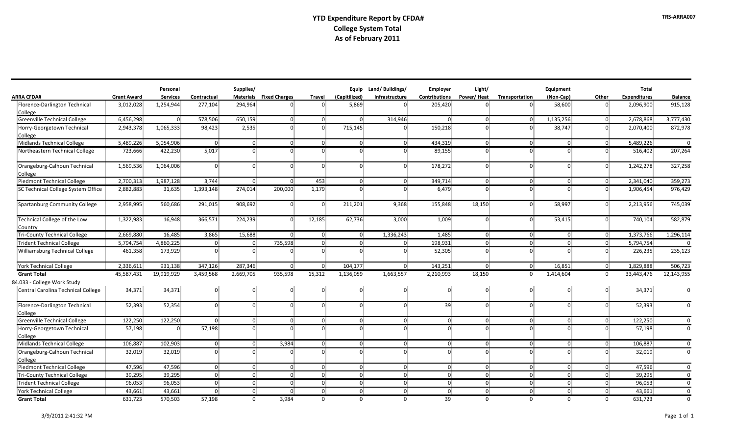|                                         |                    | Personal        |                | Supplies/      |                                |                |                | Equip Land/Buildings/ | <b>Employer</b>      | Light/         |                      | Equipment      |                      | Total               |                |
|-----------------------------------------|--------------------|-----------------|----------------|----------------|--------------------------------|----------------|----------------|-----------------------|----------------------|----------------|----------------------|----------------|----------------------|---------------------|----------------|
| <b>ARRA CFDA#</b>                       | <b>Grant Award</b> | <b>Services</b> | Contractual    |                | <b>Materials</b> Fixed Charges | Travel         | (Capitilized)  | Infrastructure        | <b>Contributions</b> | Power/Heat     | Transportation       | (Non-Cap)      | Other                | <b>Expenditures</b> | <b>Balance</b> |
| Florence-Darlington Technical           | 3,012,028          | 1,254,944       | 277,104        | 294,964        | $\Omega$                       | $\Omega$       | 5,869          | $\Omega$              | 205,420              | $\Omega$       | $\Omega$             | 58,600         | $\Omega$             | 2,096,900           | 915,128        |
| College                                 |                    |                 |                |                |                                | 0              | $\Omega$       |                       | $\overline{0}$       |                |                      |                |                      |                     | 3,777,430      |
| Greenville Technical College            | 6,456,298          | 0               | 578,506        | 650,159        | 0                              |                |                | 314,946               |                      | $\overline{0}$ | $\Omega$<br>$\Omega$ | 1.135.256      | 0 <br>$\overline{0}$ | 2,678,868           |                |
| Horry-Georgetown Technical              | 2,943,378          | 1,065,333       | 98,423         | 2,535          | $\overline{0}$                 | 0              | 715,145        | $\overline{0}$        | 150,218              | $\overline{0}$ |                      | 38,747         |                      | 2,070,400           | 872,978        |
| College<br>Midlands Technical College   | 5,489,226          | 5,054,906       | $\overline{0}$ | 0              | 0                              | 0              | 0              | 0                     | 434,319              | 0              | 0                    | 0              | 0                    | 5,489,226           | $\Omega$       |
| Northeastern Technical College          | 723,666            | 422,230         | 5,017          | $\overline{0}$ | $\Omega$                       | $\overline{0}$ | $\Omega$       | $\Omega$              | 89,155               | $\overline{0}$ | $\Omega$             | $\Omega$       | $\overline{0}$       | 516,402             | 207,264        |
| Orangeburg-Calhoun Technical            | 1,569,536          | 1,064,006       | $\Omega$       | $\overline{0}$ | $\Omega$                       | $\overline{0}$ | $\Omega$       | $\Omega$              | 178,272              | $\overline{0}$ | $\Omega$             | $\Omega$       | $\overline{0}$       | 1,242,278           | 327,258        |
| College                                 |                    |                 |                |                |                                |                |                |                       |                      |                |                      |                |                      |                     |                |
| Piedmont Technical College              | 2,700,313          | 1,987,128       | 3,744          | $\overline{0}$ | 0                              | 453            | $\overline{0}$ | $\overline{0}$        | 349,714              | 0              | 0                    | 0              | 0                    | 2,341,040           | 359,273        |
| SC Technical College System Office      | 2,882,883          | 31,635          | 1,393,148      | 274,014        | 200,000                        | 1,179          | $\Omega$       | $\Omega$              | 6,479                | $\overline{0}$ | $\Omega$             | $\Omega$       | $\overline{0}$       | 1,906,454           | 976,429        |
| Spartanburg Community College           | 2,958,995          | 560,686         | 291,015        | 908,692        | $\overline{0}$                 | $\overline{0}$ | 211,201        | 9,368                 | 155,848              | 18,150         | $\Omega$             | 58,997         | $\overline{0}$       | 2,213,956           | 745,039        |
| Technical College of the Low<br>Country | 1,322,983          | 16,948          | 366,571        | 224,239        | $\Omega$                       | 12,185         | 62,736         | 3,000                 | 1,009                | $\overline{0}$ | $\Omega$             | 53,415         | $\overline{0}$       | 740,104             | 582,879        |
| Tri-County Technical College            | 2,669,880          | 16,485          | 3,865          | 15,688         | $\Omega$                       | 0              | 0              | 1,336,243             | 1,485                | 0              | 0                    | $\overline{0}$ | 0                    | 1,373,766           | 1,296,114      |
| Trident Technical College               | 5,794,754          | 4,860,225       | 0              | $\overline{0}$ | 735,598                        | 0              | 0              | 0                     | 198,931              | 0              | 0                    | $\overline{0}$ | 0                    | 5,794,754           | $\Omega$       |
| <b>Williamsburg Technical College</b>   | 461,358            | 173,929         | $\Omega$       | $\Omega$       | $\Omega$                       | 0              | $\Omega$       | $\overline{0}$        | 52,305               | $\overline{0}$ | $\Omega$             | $\Omega$       | $\overline{0}$       | 226,235             | 235,123        |
| York Technical College                  | 2,336,611          | 931,138         | 347,126        | 287,346        | 0                              | 0              | 104,177        | $\overline{0}$        | 143,251              | 0              | 0                    | 16,851         | 0                    | 1,829,888           | 506,723        |
| <b>Grant Total</b>                      | 45,587,431         | 19,919,929      | 3,459,568      | 2,669,705      | 935,598                        | 15,312         | 1,136,059      | 1,663,557             | 2,210,993            | 18,150         | $\Omega$             | 1,414,604      | $\Omega$             | 33,443,476          | 12,143,955     |
| 84.033 - College Work Study             |                    |                 |                |                |                                |                |                |                       |                      |                |                      |                |                      |                     |                |
| Central Carolina Technical College      | 34,371             | 34,371          | $\Omega$       | $\overline{0}$ | $\Omega$                       | $\Omega$       |                |                       | $\overline{0}$       | $\Omega$       |                      | $\Omega$       | $\Omega$             | 34,371              | 0              |
| Florence-Darlington Technical           | 52,393             | 52,354          | $\overline{0}$ | $\overline{0}$ | 0 <sup>1</sup>                 | 0              | $\Omega$       | $\Omega$              | 39                   | $\overline{0}$ | $\Omega$             | $\overline{0}$ | $\overline{0}$       | 52,393              | 0              |
| College                                 |                    |                 |                |                |                                |                |                |                       |                      |                |                      |                |                      |                     |                |
| <b>Greenville Technical College</b>     | 122,250            | 122,250         | 0              | $\overline{0}$ | 0                              | 0              | 0              | 0                     | $\overline{0}$       | 0              | 0                    | 0              | 0                    | 122,250             | 0              |
| Horry-Georgetown Technical              | 57,198             | 0               | 57,198         | $\overline{0}$ | $\Omega$                       | 0              | $\Omega$       | $\Omega$              | $\overline{0}$       | $\Omega$       | $\Omega$             | $\Omega$       | $\Omega$             | 57,198              | $\mathbf{0}$   |
| College<br>Midlands Technical College   | 106,887            | 102,903         | 0              | $\overline{0}$ | 3,984                          | 0              | 0              | $\overline{0}$        | $\overline{0}$       | 0              | 0                    | 0              | 0                    | 106,887             |                |
|                                         |                    |                 |                | $\overline{0}$ |                                | $\overline{0}$ | $\Omega$       | $\Omega$              | $\overline{0}$       | $\Omega$       | $\Omega$             | $\Omega$       | $\Omega$             |                     | 0              |
| Orangeburg-Calhoun Technical<br>College | 32,019             | 32,019          | $\Omega$       |                | $\overline{0}$                 |                |                |                       |                      |                |                      |                |                      | 32,019              | $\Omega$       |
| Piedmont Technical College              | 47,596             | 47,596          | 0              | $\overline{0}$ | 0                              | 0              | $\overline{0}$ | $\overline{0}$        | $\overline{0}$       | 0              | 0                    | 0              | 0                    | 47,596              | $\Omega$       |
| Tri-County Technical College            | 39,295             | 39,295          | 0              | $\overline{0}$ | $\overline{0}$                 | 0              | $\Omega$       | $\overline{0}$        | 0                    | $\overline{0}$ | 0                    | 0              | 0                    | 39,295              | $\Omega$       |
| <b>Trident Technical College</b>        | 96,053             | 96,053          | $\overline{0}$ | $\overline{0}$ | 0                              | 0              | 0              | 0                     | 0                    | 0              | 0                    | $\overline{0}$ | 0                    | 96,053              | $\Omega$       |
| <b>York Technical College</b>           | 43,661             | 43,661          | 0              | $\overline{0}$ | $\overline{0}$                 | 0              | $\overline{0}$ | $\overline{0}$        | $\overline{0}$       | $\overline{0}$ | 0                    | 0              | 0                    | 43,661              | $\Omega$       |
| <b>Grant Total</b>                      | 631,723            | 570,503         | 57,198         | $\Omega$       | 3,984                          | $\overline{0}$ | $\Omega$       | $\Omega$              | 39                   | $\Omega$       | $\Omega$             | $\Omega$       | $\Omega$             | 631,723             | $\Omega$       |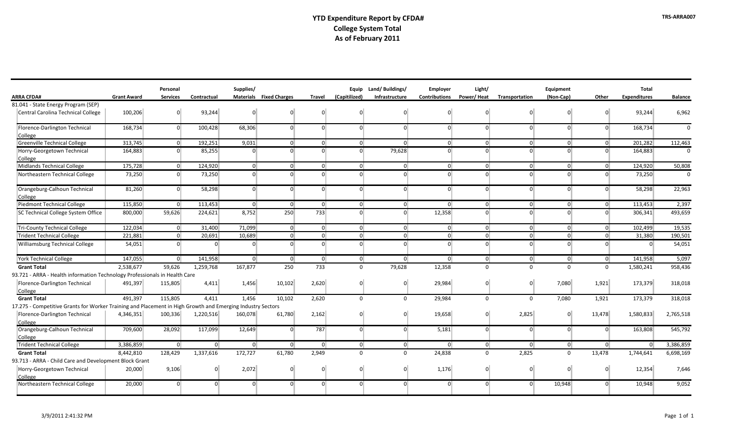|                                                                                                            |                    | Personal        |             | Supplies/      |                                |                  |                | Equip Land/Buildings/ | <b>Employer</b>      | Light/         |                | Equipment      |                | <b>Total</b>        |                |
|------------------------------------------------------------------------------------------------------------|--------------------|-----------------|-------------|----------------|--------------------------------|------------------|----------------|-----------------------|----------------------|----------------|----------------|----------------|----------------|---------------------|----------------|
| <b>ARRA CFDA#</b>                                                                                          | <b>Grant Award</b> | <b>Services</b> | Contractual |                | <b>Materials Fixed Charges</b> | Travel           | (Capitilized)  | Infrastructure        | <b>Contributions</b> | Power/Heat     | Transportation | (Non-Cap)      | Other          | <b>Expenditures</b> | <b>Balance</b> |
| 81.041 - State Energy Program (SEP)                                                                        |                    |                 |             |                |                                |                  |                |                       |                      |                |                |                |                |                     |                |
| Central Carolina Technical College                                                                         | 100,206            | $\Omega$        | 93,244      | $\overline{0}$ |                                | $\Omega$         | $\overline{0}$ | $\Omega$              | $\overline{0}$       | $\Omega$       | $\Omega$       | $\Omega$       | $\Omega$       | 93,244              | 6,962          |
| Florence-Darlington Technical                                                                              | 168,734            | $\Omega$        | 100,428     | 68,306         | $\Omega$                       | $\Omega$         | $\overline{0}$ | $\Omega$              | $\Omega$             | $\Omega$       | $\Omega$       | $\Omega$       | $\Omega$       | 168,734             | $\Omega$       |
| College<br>Greenville Technical College                                                                    | 313,745            | 0               | 192,251     | 9,031          | 0                              | 0                | 0              | $\overline{0}$        | $\overline{0}$       | $\overline{0}$ | $\overline{0}$ | $\overline{0}$ | $\overline{0}$ | 201,282             | 112,463        |
| Horry-Georgetown Technical                                                                                 | 164,883            | $\overline{0}$  | 85,255      | $\overline{0}$ | $\Omega$                       | $\overline{0}$   | $\overline{0}$ | 79,628                | $\overline{0}$       | $\Omega$       | $\Omega$       | $\Omega$       | $\Omega$       | 164,883             | $\mathbf 0$    |
| College                                                                                                    |                    |                 |             |                |                                |                  |                |                       |                      |                |                |                |                |                     |                |
| Midlands Technical College                                                                                 | 175,728            | $\overline{0}$  | 124,920     | 0              | $\overline{0}$                 | 0                | $\overline{0}$ | 0                     | $\overline{0}$       | 0              | 0 <sup>1</sup> | $\overline{0}$ | $\overline{0}$ | 124,920             | 50,808         |
| Northeastern Technical College                                                                             | 73,250             | $\overline{0}$  | 73,250      | $\Omega$       | $\Omega$                       | $\overline{0}$   | $\overline{0}$ | $\Omega$              | $\overline{0}$       | $\overline{0}$ | $\Omega$       | $\Omega$       | $\overline{0}$ | 73,250              | $\Omega$       |
| Orangeburg-Calhoun Technical                                                                               | 81,260             | $\overline{0}$  | 58,298      | $\Omega$       | $\Omega$                       | $\overline{0}$   | $\overline{0}$ | $\Omega$              | $\overline{0}$       | $\overline{0}$ | $\Omega$       | $\Omega$       | $\overline{0}$ | 58,298              | 22,963         |
| College                                                                                                    |                    |                 |             |                |                                |                  |                |                       |                      |                |                |                |                |                     |                |
| Piedmont Technical College                                                                                 | 115,850            | $\Omega$        | 113,453     | $\overline{0}$ | $\overline{0}$                 | 0                | 0              | $\overline{0}$        | $\Omega$             | 0              | 0 <sup>1</sup> | $\overline{0}$ | $\overline{0}$ | 113,453             | 2,397          |
| SC Technical College System Office                                                                         | 800,000            | 59,626          | 224,621     | 8,752          | 250                            | 733              | $\overline{0}$ | $\Omega$              | 12,358               | $\overline{0}$ | $\Omega$       | $\Omega$       | $\Omega$       | 306,341             | 493,659        |
| Tri-County Technical College                                                                               | 122,034            | 0               | 31,400      | 71,099         | 0                              | 0                | 0              | 0                     | 0                    | 0              | 0              | 0              | 0              | 102,499             | 19,535         |
| Trident Technical College                                                                                  | 221,881            | 0               | 20,691      | 10,689         | 0                              | 0                | 0              | $\overline{0}$        | 0                    | $\overline{0}$ | 0              | $\overline{0}$ | 0              | 31,380              | 190,501        |
| Williamsburg Technical College                                                                             | 54,051             | $\overline{0}$  | $\Omega$    | $\overline{0}$ | $\Omega$                       | $\overline{0}$   | $\overline{0}$ | $\Omega$              | $\Omega$             | $\overline{0}$ | $\Omega$       | $\Omega$       | $\overline{0}$ | $\Omega$            | 54,051         |
| York Technical College                                                                                     | 147,055            | $\Omega$        | 141,958     | 0              | 0                              | 0                | 0              | 0                     | $\overline{0}$       | 0              | 0              | 0              | 0              | 141,958             | 5,097          |
| <b>Grant Total</b>                                                                                         | 2,538,677          | 59,626          | 1,259,768   | 167,877        | 250                            | $\overline{733}$ | $\mathbf 0$    | 79,628                | 12,358               | $\mathbf 0$    | $\Omega$       | $\Omega$       | $\mathbf 0$    | 1,580,241           | 958,436        |
| 93.721 - ARRA - Health information Technology Professionals in Health Care                                 |                    |                 |             |                |                                |                  |                |                       |                      |                |                |                |                |                     |                |
| Florence-Darlington Technical<br>College                                                                   | 491,397            | 115,805         | 4,411       | 1,456          | 10,102                         | 2,620            | $\overline{0}$ | $\Omega$              | 29,984               | $\Omega$       | $\overline{0}$ | 7,080          | 1,921          | 173,379             | 318,018        |
| <b>Grant Total</b>                                                                                         | 491,397            | 115,805         | 4,411       | 1,456          | 10,102                         | 2,620            | $\mathbf 0$    | $\mathbf{0}$          | 29,984               | $\mathbf{0}$   | $\mathbf{0}$   | 7,080          | 1,921          | 173,379             | 318,018        |
| 17.275 - Competitive Grants for Worker Training and Placement in High Growth and Emerging Industry Sectors |                    |                 |             |                |                                |                  |                |                       |                      |                |                |                |                |                     |                |
| Florence-Darlington Technical                                                                              | 4,346,351          | 100,336         | 1,220,516   | 160,078        | 61,780                         | 2,162            | $\overline{0}$ |                       | 19,658               | $\Omega$       | 2,825          |                | 13,478         | 1,580,833           | 2,765,518      |
| College                                                                                                    |                    |                 |             |                |                                |                  |                |                       |                      |                |                |                |                |                     |                |
| Orangeburg-Calhoun Technical                                                                               | 709,600            | 28,092          | 117,099     | 12,649         | $\overline{0}$                 | 787              | $\overline{0}$ | $\Omega$              | 5,181                | $\overline{0}$ | $\Omega$       | $\Omega$       | $\Omega$       | 163,808             | 545,792        |
| College                                                                                                    |                    |                 |             |                |                                |                  |                |                       |                      |                |                |                |                |                     |                |
| Trident Technical College                                                                                  | 3,386,859          | 0               | 0           | $\overline{0}$ | 0                              | 0                | 0              | 0                     | 0                    | 0              | 0              | 0              | 0              | $\overline{0}$      | 3,386,859      |
| <b>Grant Total</b>                                                                                         | 8,442,810          | 128,429         | 1,337,616   | 172,727        | 61,780                         | 2,949            | $\Omega$       | $\Omega$              | 24,838               | $\mathbf{0}$   | 2,825          | $\Omega$       | 13,478         | 1,744,641           | 6,698,169      |
| 93.713 - ARRA - Child Care and Development Block Grant                                                     |                    |                 |             |                |                                |                  |                |                       |                      |                |                |                |                |                     |                |
| Horry-Georgetown Technical                                                                                 | 20,000             | 9,106           | 0           | 2,072          | $\Omega$                       | 0                | $\overline{0}$ | $\Omega$              | 1,176                | $\Omega$       | 0 <sup>1</sup> | $\Omega$       | $\Omega$       | 12,354              | 7,646          |
| College                                                                                                    |                    |                 |             |                |                                |                  |                |                       |                      |                |                |                |                |                     |                |
| Northeastern Technical College                                                                             | 20,000             | $\Omega$        | $\Omega$    | $\Omega$       | $\Omega$                       | $\Omega$         | $\Omega$       | $\Omega$              | $\Omega$             | $\Omega$       | $\Omega$       | 10,948         | $\Omega$       | 10,948              | 9,052          |

**TRS-ARRA007**